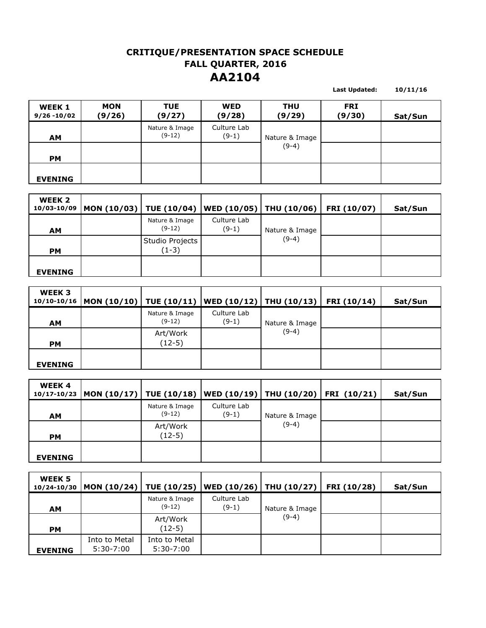## **CRITIQUE/PRESENTATION SPACE SCHEDULE AA2104 FALL QUARTER, 2016**

**10/11/16**

**Last Updated:** 

**WEEK 1 9/26 -10/02 MON (9/26) TUE (9/27) WED (9/28) THU (9/29) FRI (9/30) Sat/Sun AM** Nature & Image (9-12) Culture Lab (9-1) **PM EVENING** Nature & Image (9-4)

| WEEK <sub>2</sub><br>10/03-10/09 | $ $ MON (10/03) TUE (10/04) WED (10/05) THU (10/06) FRI (10/07) |                            |                        |                | Sat/Sun |
|----------------------------------|-----------------------------------------------------------------|----------------------------|------------------------|----------------|---------|
| <b>AM</b>                        |                                                                 | Nature & Image<br>$(9-12)$ | Culture Lab<br>$(9-1)$ | Nature & Image |         |
| <b>PM</b>                        |                                                                 | Studio Projects<br>$(1-3)$ |                        | $(9-4)$        |         |
| <b>EVENING</b>                   |                                                                 |                            |                        |                |         |

| WEEK 3         | 10/10-10/16   MON (10/10)   TUE (10/11)   WED (10/12)   THU (10/13)   FRI (10/14) |                            |                        |                | Sat/Sun |
|----------------|-----------------------------------------------------------------------------------|----------------------------|------------------------|----------------|---------|
| <b>AM</b>      |                                                                                   | Nature & Image<br>$(9-12)$ | Culture Lab<br>$(9-1)$ | Nature & Image |         |
| <b>PM</b>      |                                                                                   | Art/Work<br>(12-5)         |                        | $(9-4)$        |         |
| <b>EVENING</b> |                                                                                   |                            |                        |                |         |

| <b>WEEK4</b>   | 10/17-10/23  MON (10/17)   TUE (10/18)   WED (10/19)   THU (10/20)   FRI (10/21) |                            |                        |                | Sat/Sun |
|----------------|----------------------------------------------------------------------------------|----------------------------|------------------------|----------------|---------|
| <b>AM</b>      |                                                                                  | Nature & Image<br>$(9-12)$ | Culture Lab<br>$(9-1)$ | Nature & Image |         |
| <b>PM</b>      |                                                                                  | Art/Work<br>(12-5)         |                        | $(9-4)$        |         |
| <b>EVENING</b> |                                                                                  |                            |                        |                |         |

| WEEK 5<br>10/24-10/30 | $ MON (10/24)  TUE (10/25)   WED (10/26)  THU (10/27)$ |                              |                        |                | FRI (10/28) | Sat/Sun |
|-----------------------|--------------------------------------------------------|------------------------------|------------------------|----------------|-------------|---------|
| <b>AM</b>             |                                                        | Nature & Image<br>$(9-12)$   | Culture Lab<br>$(9-1)$ | Nature & Image |             |         |
| <b>PM</b>             |                                                        | Art/Work<br>(12-5)           |                        | $(9-4)$        |             |         |
| <b>EVENING</b>        | Into to Metal<br>$5:30-7:00$                           | Into to Metal<br>$5:30-7:00$ |                        |                |             |         |